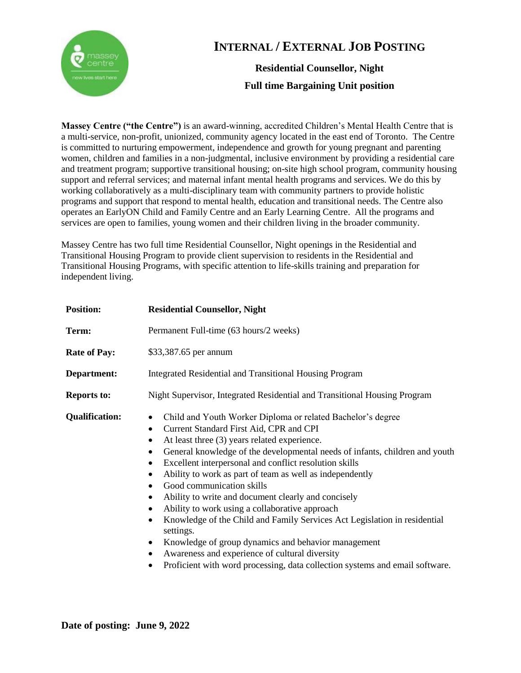

## **INTERNAL / EXTERNAL JOB POSTING**

**Residential Counsellor, Night Full time Bargaining Unit position**

**Massey Centre ("the Centre")** is an award-winning, accredited Children's Mental Health Centre that is a multi-service, non-profit, unionized, community agency located in the east end of Toronto. The Centre is committed to nurturing empowerment, independence and growth for young pregnant and parenting women, children and families in a non-judgmental, inclusive environment by providing a residential care and treatment program; supportive transitional housing; on-site high school program, community housing support and referral services; and maternal infant mental health programs and services. We do this by working collaboratively as a multi-disciplinary team with community partners to provide holistic programs and support that respond to mental health, education and transitional needs. The Centre also operates an EarlyON Child and Family Centre and an Early Learning Centre. All the programs and services are open to families, young women and their children living in the broader community.

Massey Centre has two full time Residential Counsellor, Night openings in the Residential and Transitional Housing Program to provide client supervision to residents in the Residential and Transitional Housing Programs, with specific attention to life-skills training and preparation for independent living.

| <b>Position:</b>      | <b>Residential Counsellor, Night</b>                                                                                                                                                                                                                                                                                                                                                                                                                                                                                                                                                                                                                                                                                                                                                                                                                                                                        |
|-----------------------|-------------------------------------------------------------------------------------------------------------------------------------------------------------------------------------------------------------------------------------------------------------------------------------------------------------------------------------------------------------------------------------------------------------------------------------------------------------------------------------------------------------------------------------------------------------------------------------------------------------------------------------------------------------------------------------------------------------------------------------------------------------------------------------------------------------------------------------------------------------------------------------------------------------|
| Term:                 | Permanent Full-time (63 hours/2 weeks)                                                                                                                                                                                                                                                                                                                                                                                                                                                                                                                                                                                                                                                                                                                                                                                                                                                                      |
| <b>Rate of Pay:</b>   | \$33,387.65 per annum                                                                                                                                                                                                                                                                                                                                                                                                                                                                                                                                                                                                                                                                                                                                                                                                                                                                                       |
| Department:           | Integrated Residential and Transitional Housing Program                                                                                                                                                                                                                                                                                                                                                                                                                                                                                                                                                                                                                                                                                                                                                                                                                                                     |
| <b>Reports to:</b>    | Night Supervisor, Integrated Residential and Transitional Housing Program                                                                                                                                                                                                                                                                                                                                                                                                                                                                                                                                                                                                                                                                                                                                                                                                                                   |
| <b>Qualification:</b> | Child and Youth Worker Diploma or related Bachelor's degree<br>$\bullet$<br>Current Standard First Aid, CPR and CPI<br>$\bullet$<br>At least three (3) years related experience.<br>$\bullet$<br>General knowledge of the developmental needs of infants, children and youth<br>$\bullet$<br>Excellent interpersonal and conflict resolution skills<br>Ability to work as part of team as well as independently<br>$\bullet$<br>Good communication skills<br>$\bullet$<br>Ability to write and document clearly and concisely<br>٠<br>Ability to work using a collaborative approach<br>٠<br>Knowledge of the Child and Family Services Act Legislation in residential<br>settings.<br>Knowledge of group dynamics and behavior management<br>$\bullet$<br>Awareness and experience of cultural diversity<br>$\bullet$<br>Proficient with word processing, data collection systems and email software.<br>٠ |